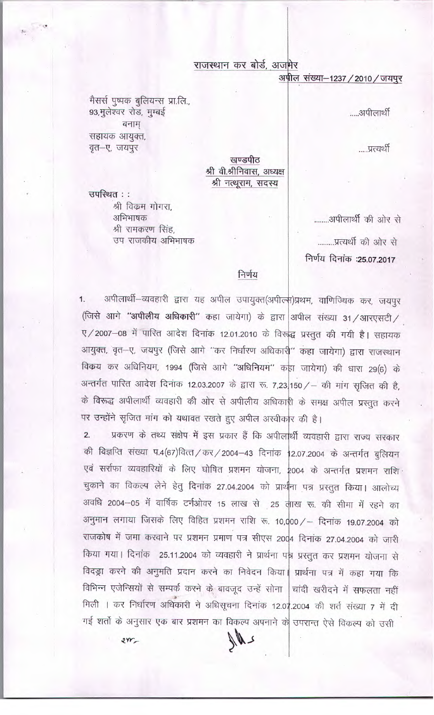## राजस्थान कर बोर्ड, अजमेर

अपील संख्या-1237 / 2010 / जयपुर

.....अपीलार्थी

.....प्रत्यर्थी

खण्डपीठ श्री वी.श्रीनिवास, अध्यक्ष श्री नत्थूराम, सदस्य

उपस्थित :: श्री विक्रम गोगरा, अभिभाषक श्री रामकरण सिंह, उप राजकीय अभिभाषक

मैसर्स पुष्पक बुलियन्स प्रा.लि.,

93, मुलेश्वर रोड, मुम्बई

सहायक आयुक्त, वृत-ए, जयपुर

बनाम

........अपीलार्थी की ओर से .........प्रत्यर्थी की ओर से निर्णय दिनांक :25.07.2017

#### निर्णय

अपीलार्थी–व्यवहारी द्वारा यह अपील उपायुक्त(अपील्फ)प्रथम, वाणिज्यिक कर, जयपुर  $1.$ (जिसे आगे "अपीलीय अधिकारी" कहा जायेगा) के द्वारा अपील संख्या 31/आरएसटी/ ए/2007-08 में पारित आदेश दिनांक 12.01.2010 के विरुद्ध प्रस्तुत की गयी है। सहायक आयुक्त, वृत-ए, जयपुर (जिसे आगे "कर निर्धारण अधिकारी" कहा जायेगा) द्वारा राजस्थान विक्रय कर अधिनियम, 1994 (जिसे आगे "अधिनियम" कहा जायेगा) की धारा 29(6) के अन्तर्गत पारित आदेश दिनांक 12.03.2007 के द्वारा रू. 7,23 150 / - की मांग सृजित की है, के विरूद्ध अपीलार्थी व्यवहारी की ओर से अपीलीय अधिकारी के समक्ष अपील प्रस्तुत करने पर उन्होंने सृजित मांग को यथावत रखते हुए अपील अस्वीकार की है।

प्रकरण के तथ्य संक्षेप में इस प्रकार हैं कि अपीलार्थी व्यवहारी द्वारा राज्य सरकार  $2.$ की विज्ञप्ति संख्या प.4(67)वित्त/कर/2004-43 दिनांक 12.07.2004 के अन्तर्गत बुलियन एवं सर्राफा व्यवहारियों के लिए घोषित प्रशमन योजना, 2004 के अन्तर्गत प्रशमन राशि चुकाने का विकल्प लेने हेतु दिनांक 27.04.2004 को प्रार्थना पत्र प्रस्तुत किया। आलोच्य अवधि 2004-05 में वार्षिक टर्नओवर 15 लाख से 25 लाख रू. की सीमा में रहने का अनुमान लगाया जिसके लिए विहित प्रशमन राशि रू. 10,000 / – दिनांक 19.07.2004 को राजकोष में जमा करवाने पर प्रशमन प्रमाण पत्र सीएस 2004 दिनांक 27.04.2004 को जारी किया गया। दिनांक 25.11.2004 को व्यवहारी ने प्रार्थना पन्न प्रस्तुत कर प्रशमन योजना से विदड्रा करने की अनुमति प्रदान करने का निवेदन किया। प्रार्थना पत्र में कहा गया कि विभिन्न एजेन्सियों से सम्पर्क करने के बावजूद उन्हें सोना | चांदी खरीदने में सफलता नहीं मिली । कर निर्धारण अधिकारी ने अधिसूचना दिनांक 12.07.2004 की शर्त संख्या 7 में दी गई शर्तो के अनुसार एक बार प्रशमन का विकल्प अपनाने के उपरान्त ऐसे विंकल्प को उसी

 $2rr$ 

 $M_{\star}$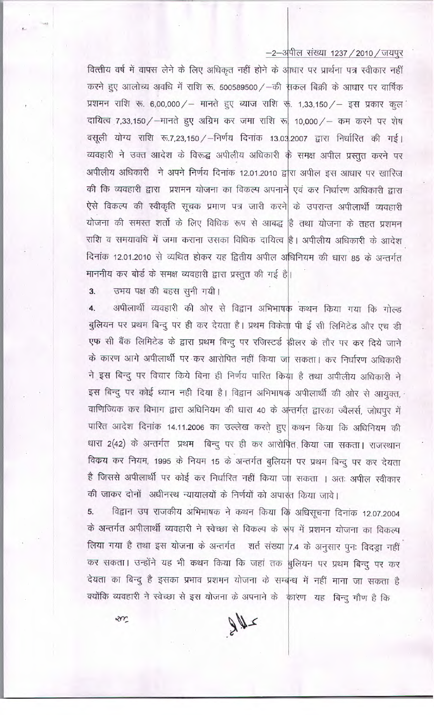### $-2$ -अपील संख्या 1237 / 2010 / जयपुर

वित्तीय वर्ष में वापस लेने के लिए अधिकृत नहीं होने के अाधार पर प्रार्थना पत्र स्वीकार नहीं करने हुए आलोच्य अवधि में राशि रू. 500589500 / -की सकल बिक्री के आधार पर वार्षिक प्रशमन राशि रू. 6,00,000/ – मानते हुए ब्याज राशि रू. 1,33,150/ – इस प्रकार कूल दायित्व 7,33,150 / - मानते हुए अग्रिम कर जमा राशि रू 10,000 / - कम करने पर शेष वसूली योग्य राशि रू.7,23,150 / - निर्णय दिनांक 13.03.2007 द्वारा निर्धारित की गई। व्यवहारी ने उक्त आदेश के विरूद्ध अपीलीय अधिकारी के समक्ष अपील प्रस्तुत करने पर अपीलीय अधिकारी ने अपने निर्णय दिनांक 12.01.2010 द्वारा अपील इस आधार पर खारिज की कि व्यवहारी द्वारा प्रशमन योजना का विकल्प अपनाने एवं कर निर्धारण अधिकारी द्वारा ऐसे विकल्प की स्वीकृति सूचक प्रमाण पत्र जारी करने के उपरान्त अपीलार्थी व्यवहारी योजना की समस्त शर्तो के लिए विधिक रूप से आबद्ध है तथा योजना के तहत प्रशमन राशि व समयावधि में जमा कराना उसका विधिक दायित्व है। अपीलीय अधिकारी के आदेश दिनांक 12.01.2010 से व्यथित होकर यह द्वितीय अपील अधिनियम की धारा 85 के अन्तर्गत माननीय कर बोर्ड के समक्ष व्यवहारी द्वारा प्रस्तुत की गई है|।

उभय पक्ष की बहस सुनी गयी।  $3.$ 

अपीलार्थी व्यवहारी की ओर से विद्वान अभिभाषक कथन किया गया कि गोल्ड  $4.$ बुलियन पर प्रथम बिन्दु पर ही कर देयता है। प्रथम विकेता पी ई सी लिमिटेड और एच डी एफ सी बैंक लिमिटेड के द्वारा प्रथम बिन्दु पर रजिस्टर्ड हीलर के तौर पर कर दिये जाने के कारण आगे अपीलार्थी पर कर आरोपित नहीं किया जा सकता। कर निर्धारण अधिकारी ने इस बिन्दु पर विचार किये बिना ही निर्णय पारित किया है तथा अपीलीय अधिकारी ने इस बिन्दु पर कोई ध्यान नही दिया है। विद्वान अभिभाषक अपीलार्थी की ओर से आयुक्त, वाणिज्यिक कर विभाग द्वारा अधिनियम की धारा 40 के अन्तर्गत द्वारका ज्वैलर्स, जोधपुर में पारित आदेश दिनांक 14.11.2006 का उल्लेख करते हुए कथन किया कि अधिनियम की धारा 2(42) के अन्तर्गत प्रथम बिन्दु पर ही कर आरोपित किया जा सकता। राजस्थान विक्रय कर नियम, 1995 के नियम 15 के अन्तर्गत बुलियन पर प्रथम बिन्दु पर कर देयता है जिससे अपीलार्थी पर कोई कर निर्धारित नहीं किया जा सकता । अतः अपील स्वीकार की जाकर दोनों अधीनस्थ न्यायालयों के निर्णयों को अपास्त किया जावे।

विद्वान उप राजकीय अभिभाषक ने कथन किया कि अधिसूचना दिनांक 12.07.2004 5. के अन्तर्गत अपीलार्थी व्यवहारी ने स्वेच्छा से विकल्प के रूप में प्रशमन योजना का विकल्प लिया गया है तथा इस योजना के अन्तर्गत शर्त संख्या 7.4 के अनुसार पुनः विदड़ा नहीं कर सकता। उन्होंने यह भी कथन किया कि जहां तक बुलियन पर प्रथम बिन्दु पर कर देयता का बिन्दु है इसका प्रभाव प्रशमन योजना के सम्बन्ध में नहीं माना जा सकता है क्योंकि व्यवहारी ने स्वेच्छा से इस योजना के अपनाने के कारण यह बिन्दु गौण है कि

em

 $80 -$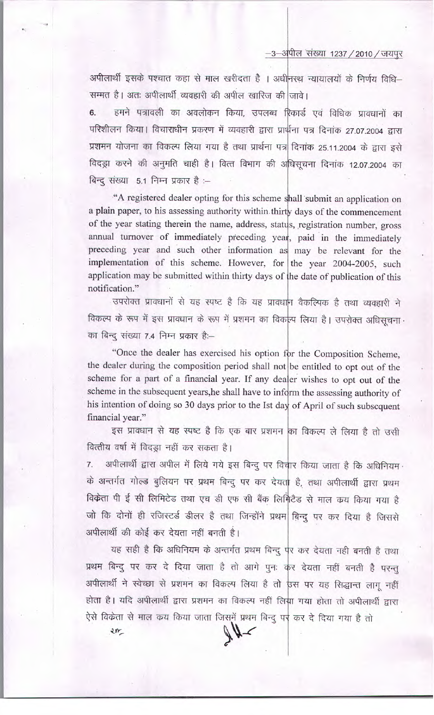-3-अपील संख्या 1237 / 2010 / जयपूर

अपीलार्थी इसके पश्चात कहा से माल खरीदता है । अधीनस्थ न्यायालयों के निर्णय विधि-सम्मत है। अतः अपीलार्थी व्यवहारी की अपील खारिज की जावे।

हमने पत्रावली का अवलोकन किया, उपलब्ध रिकार्ड एवं विधिक प्रावधानों का  $6.$ परिशीलन किया। विचाराधीन प्रकरण में व्यवहारी द्वारा प्रार्थना पत्र दिनांक 27.07.2004 द्वारा प्रशमन योजना का विकल्प लिया गया है तथा प्रार्थना पत्र दिनांक 25.11.2004 के द्वारा इसे विदड़ा करने की अनुमति चाही है। वित्त विभाग की अधिसूचना दिनांक 12.07.2004 का बिन्दु संख्या 5.1 निम्न प्रकार है :-

"A registered dealer opting for this scheme shall submit an application on a plain paper, to his assessing authority within thirty days of the commencement of the year stating therein the name, address, status, registration number, gross annual turnover of immediately preceding year, paid in the immediately preceding year and such other information as may be relevant for the implementation of this scheme. However, for the year 2004-2005, such application may be submitted within thirty days of the date of publication of this notification."

उपरोक्त प्रावधानों से यह स्पष्ट है कि यह प्रावधान वैकल्पिक है तथा व्यवहारी ने विकल्प के रूप में इस प्रावधान के रूप में प्रशमन का विकल्प लिया है। उपरोक्त अधिसूचना का बिन्दु संख्या 7.4 निम्न प्रकार है:--

"Once the dealer has exercised his option for the Composition Scheme, the dealer during the composition period shall not be entitled to opt out of the scheme for a part of a financial year. If any dealer wishes to opt out of the scheme in the subsequent years, he shall have to inform the assessing authority of his intention of doing so 30 days prior to the Ist day of April of such subsequent financial year."

इस प्रावधान से यह स्पष्ट है कि एक बार प्रशमन का विकल्प ले लिया है तो उसी वित्तीय वर्षा में विदड़ा नहीं कर सकता है।

अपीलार्थी द्वारा अपील में लिये गये इस बिन्दु पर विचार किया जाता है कि अधिनियम  $\overline{7}$ . के अन्तर्गत गोल्ड बुलियन पर प्रथम बिन्दू पर कर देयता है, तथा अपीलार्थी द्वारा प्रथम विकेता पी ई सी लिमिटेड तथा एच डी एफ सी बैंक लिमिटेड से माल कय किया गया है जो कि दोनों ही रजिस्टर्ड डीलर है तथा जिन्होंने प्रथम बिन्दु पर कर दिया है जिससे अपीलार्थी की कोई कर देयता नहीं बनती है।

यह सही है कि अधिनियम के अन्तर्गत प्रथम बिन्दु पूर कर देयता नही बनती है तथा प्रथम बिन्दु पर कर दे दिया जाता है तो आगे पुनः कर देयता नहीं बनती है परन्तु अपीलार्थी ने स्वेच्छा से प्रशमन का विकल्प लिया है तो उस पर यह सिद्धान्त लागू नहीं होता है। यदि अपीलार्थी द्वारा प्रशमन का विकल्प नहीं लिया गया होता तो अपीलार्थी द्वारा ऐसे विक्रेता से माल कय किया जाता जिसमें प्रथम बिन्दु पर कर दे दिया गया है तो

 $2r$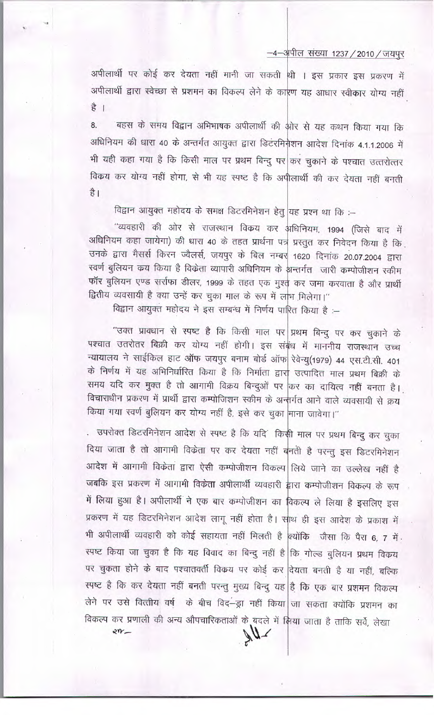## —4—अपील संख्या 1237 / 2010 / जयपुर

अपीलार्थी पर कोई कर देयता नहीं मानी जा सकती थी । इस प्रकार इस प्रकरण में अपीलार्थी द्वारा स्वेच्छा से प्रशमन का विकल्प लेने के कारण यह आधार स्वीकार योग्य नहीं  $\frac{4}{5}$ 

ंबहस के समय विद्वान अभिभाषक अपीलार्थी की ओर से यह कथन किया गया कि 8. अधिनियम की धारा 40 के अन्तर्गत आयुक्त द्वारा डिटरमिनेशन आदेश दिनांक 4.1.1.2006 में भी यही कहा गया है कि किसी माल पर प्रथम बिन्दु पर कर चुकाने के पश्चात उत्तरोत्तर विकय कर योग्य नहीं होगा, से भी यह स्पष्ट है कि अपीलार्थी की कर देयता नहीं बनती है।

विद्वान आयुक्त महोदय के समक्ष डिटरमिनेशन हेतु यह प्रश्न था कि :-

"व्यवहारी की ओर से राजस्थान विकय कर अधिनियम, 1994 (जिसे बाद में अधिनियम कहा जायेगा) की धारा 40 के तहत प्रार्थना पत्र प्रस्तुत कर निवेदन किया है कि. उनके द्वारा मैसर्स किरन ज्वैलर्स, जयपुर के बिल नम्बर 1620 दिनांक 20.07.2004 द्वारा स्वर्ण बुलियन कय किया है विकेता व्यापारी अधिनियम के भन्तर्गत जारी कम्पोजीशन स्कीम फॉर बुलियन एण्ड सर्राफा डीलर, 1999 के तहत एक मुश्त कर जमा करवाता है और प्रार्थी द्वितीय व्यवसायी है क्या उन्हें कर चुका माल के रूप में लाभ मिलेगा।"

विद्वान आयुक्त महोदय ने इस सम्बन्ध में निर्णय पारित किया है :-

"उक्त प्रावधान से स्पष्ट है कि किसी माल पर प्रथम बिन्दु पर कर चुकाने के पश्चात उतरोतर बिक्री कर योग्य नहीं होगी। इस संबंध में माननीय राजस्थान उच्च न्यायालय ने साईकिल हाट ऑफ जयपुर बनाम बोर्ड ऑफ रेवेन्यु(1979) 44 एस.टी.सी. 401 के निर्णय में यह अभिनिर्धारित किया है कि निर्माता द्वार उत्पादित माल प्रथम बिक्री के समय यदि कर मुक्त है तो आगामी विक्रय बिन्दुओं पर किर का दायित्व नहीं बनता है। विचाराधीन प्रकरण में प्रार्थी द्वारा कम्पोजिशन स्कीम के अन्तर्गत आने वाले व्यवसायी से क्रय किया गया स्वर्ण बुलियन कर योग्य नहीं है, इसे कर चुका माना जावेगा।"

. उपरोक्त डिटरमिनेशन आदेश से स्पष्ट है कि यदिं किसी माल पर प्रथम बिन्दु कर चुका दिया जाता है तो आगामी विक्रेता पर कर देयता नहीं बनती है परन्तु इस डिटरमिनेशन आदेश में आगामी विकेता द्वारा ऐसी कम्पोजीशन विकल्प लिये जाने का उल्लेख नहीं है जबकि इस प्रकरण में आगामी विकेता अपीलार्थी व्यवहारी द्वारा कम्पोजीशन विकल्प के रूप में लिया हुआ है। अपीलार्थी ने एक बार कम्पोजीशन का विकल्प ले लिया है इसलिए इस प्रकरण में यह डिटरमिनेशन आदेश लागू नहीं होता है। साथ ही इस आदेश के प्रकाश में भी अपीलार्थी व्यवहारी को कोई सहायता नहीं मिलती है क्योंकि जैसा कि पैरा 6, 7 में स्पष्ट किया जा चुका है कि यह विवाद का बिन्दु नहीं है कि गोल्ड बुलियन प्रथम विकय पर चुकता होने के बाद पश्चातवर्ती विक्रय पर कोई कर दियता बनती है या नहीं, बल्कि स्पष्ट है कि कर देयता नहीं बनती परन्तु मुख्य बिन्दु यह है कि एक बार प्रशमन विकल्प लेने पर उसे वित्तीय वर्ष के बीच विद–ड्रा नहीं किया जा सकता क्योंकि प्रशमन का विकल्प कर प्रणाली की अन्य औपचारिकताओं के बदले में लिया जाता है ताकि सर्वे, लेखा

 $2n-$